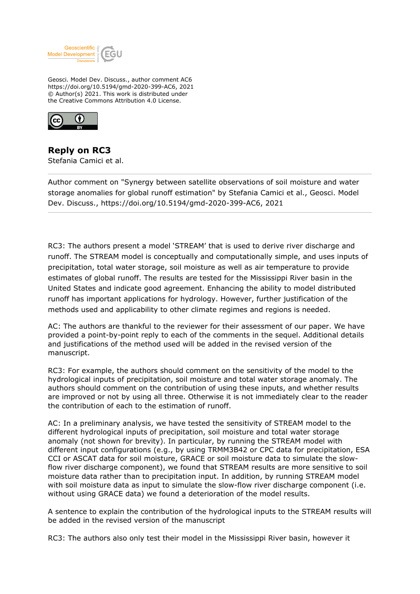

Geosci. Model Dev. Discuss., author comment AC6 https://doi.org/10.5194/gmd-2020-399-AC6, 2021 © Author(s) 2021. This work is distributed under the Creative Commons Attribution 4.0 License.



**Reply on RC3** Stefania Camici et al.

Author comment on "Synergy between satellite observations of soil moisture and water storage anomalies for global runoff estimation" by Stefania Camici et al., Geosci. Model Dev. Discuss., https://doi.org/10.5194/gmd-2020-399-AC6, 2021

RC3: The authors present a model 'STREAM' that is used to derive river discharge and runoff. The STREAM model is conceptually and computationally simple, and uses inputs of precipitation, total water storage, soil moisture as well as air temperature to provide estimates of global runoff. The results are tested for the Mississippi River basin in the United States and indicate good agreement. Enhancing the ability to model distributed runoff has important applications for hydrology. However, further justification of the methods used and applicability to other climate regimes and regions is needed.

AC: The authors are thankful to the reviewer for their assessment of our paper. We have provided a point-by-point reply to each of the comments in the sequel. Additional details and justifications of the method used will be added in the revised version of the manuscript.

RC3: For example, the authors should comment on the sensitivity of the model to the hydrological inputs of precipitation, soil moisture and total water storage anomaly. The authors should comment on the contribution of using these inputs, and whether results are improved or not by using all three. Otherwise it is not immediately clear to the reader the contribution of each to the estimation of runoff.

AC: In a preliminary analysis, we have tested the sensitivity of STREAM model to the different hydrological inputs of precipitation, soil moisture and total water storage anomaly (not shown for brevity). In particular, by running the STREAM model with different input configurations (e.g., by using TRMM3B42 or CPC data for precipitation, ESA CCI or ASCAT data for soil moisture, GRACE or soil moisture data to simulate the slowflow river discharge component), we found that STREAM results are more sensitive to soil moisture data rather than to precipitation input. In addition, by running STREAM model with soil moisture data as input to simulate the slow-flow river discharge component (i.e. without using GRACE data) we found a deterioration of the model results.

A sentence to explain the contribution of the hydrological inputs to the STREAM results will be added in the revised version of the manuscript

RC3: The authors also only test their model in the Mississippi River basin, however it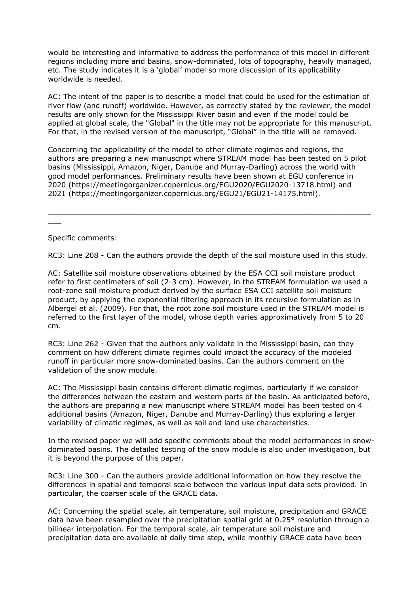would be interesting and informative to address the performance of this model in different regions including more arid basins, snow-dominated, lots of topography, heavily managed, etc. The study indicates it is a 'global' model so more discussion of its applicability worldwide is needed.

AC: The intent of the paper is to describe a model that could be used for the estimation of river flow (and runoff) worldwide. However, as correctly stated by the reviewer, the model results are only shown for the Mississippi River basin and even if the model could be applied at global scale, the "Global" in the title may not be appropriate for this manuscript. For that, in the revised version of the manuscript, "Global" in the title will be removed.

Concerning the applicability of the model to other climate regimes and regions, the authors are preparing a new manuscript where STREAM model has been tested on 5 pilot basins (Mississippi, Amazon, Niger, Danube and Murray-Darling) across the world with good model performances. Preliminary results have been shown at EGU conference in 2020 (https://meetingorganizer.copernicus.org/EGU2020/EGU2020-13718.html) and 2021 (https://meetingorganizer.copernicus.org/EGU21/EGU21-14175.html).

Specific comments:

 $\overline{\phantom{a}}$ 

RC3: Line 208 - Can the authors provide the depth of the soil moisture used in this study.

 $\_$  , and the set of the set of the set of the set of the set of the set of the set of the set of the set of the set of the set of the set of the set of the set of the set of the set of the set of the set of the set of th

AC: Satellite soil moisture observations obtained by the ESA CCI soil moisture product refer to first centimeters of soil (2-3 cm). However, in the STREAM formulation we used a root-zone soil moisture product derived by the surface ESA CCI satellite soil moisture product, by applying the exponential filtering approach in its recursive formulation as in Albergel et al. (2009). For that, the root zone soil moisture used in the STREAM model is referred to the first layer of the model, whose depth varies approximatively from 5 to 20 cm.

RC3: Line 262 - Given that the authors only validate in the Mississippi basin, can they comment on how different climate regimes could impact the accuracy of the modeled runoff in particular more snow-dominated basins. Can the authors comment on the validation of the snow module.

AC: The Mississippi basin contains different climatic regimes, particularly if we consider the differences between the eastern and western parts of the basin. As anticipated before, the authors are preparing a new manuscript where STREAM model has been tested on 4 additional basins (Amazon, Niger, Danube and Murray-Darling) thus exploring a larger variability of climatic regimes, as well as soil and land use characteristics.

In the revised paper we will add specific comments about the model performances in snowdominated basins. The detailed testing of the snow module is also under investigation, but it is beyond the purpose of this paper.

RC3: Line 300 - Can the authors provide additional information on how they resolve the differences in spatial and temporal scale between the various input data sets provided. In particular, the coarser scale of the GRACE data.

AC: Concerning the spatial scale, air temperature, soil moisture, precipitation and GRACE data have been resampled over the precipitation spatial grid at 0.25° resolution through a bilinear interpolation. For the temporal scale, air temperature soil moisture and precipitation data are available at daily time step, while monthly GRACE data have been